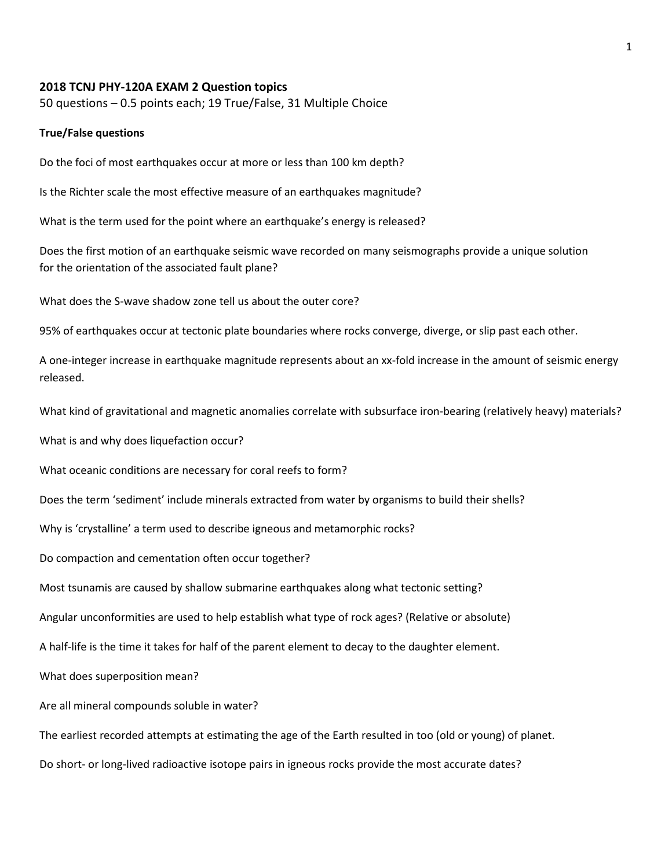## 2018 TCNJ PHY-120A EXAM 2 Question topics

50 questions – 0.5 points each; 19 True/False, 31 Multiple Choice

## True/False questions

Do the foci of most earthquakes occur at more or less than 100 km depth?

Is the Richter scale the most effective measure of an earthquakes magnitude?

What is the term used for the point where an earthquake's energy is released?

Does the first motion of an earthquake seismic wave recorded on many seismographs provide a unique solution for the orientation of the associated fault plane?

What does the S-wave shadow zone tell us about the outer core?

95% of earthquakes occur at tectonic plate boundaries where rocks converge, diverge, or slip past each other.

A one-integer increase in earthquake magnitude represents about an xx-fold increase in the amount of seismic energy released.

What kind of gravitational and magnetic anomalies correlate with subsurface iron-bearing (relatively heavy) materials?

What is and why does liquefaction occur?

What oceanic conditions are necessary for coral reefs to form?

Does the term 'sediment' include minerals extracted from water by organisms to build their shells?

Why is 'crystalline' a term used to describe igneous and metamorphic rocks?

Do compaction and cementation often occur together?

Most tsunamis are caused by shallow submarine earthquakes along what tectonic setting?

Angular unconformities are used to help establish what type of rock ages? (Relative or absolute)

A half-life is the time it takes for half of the parent element to decay to the daughter element.

What does superposition mean?

Are all mineral compounds soluble in water?

The earliest recorded attempts at estimating the age of the Earth resulted in too (old or young) of planet.

Do short- or long-lived radioactive isotope pairs in igneous rocks provide the most accurate dates?